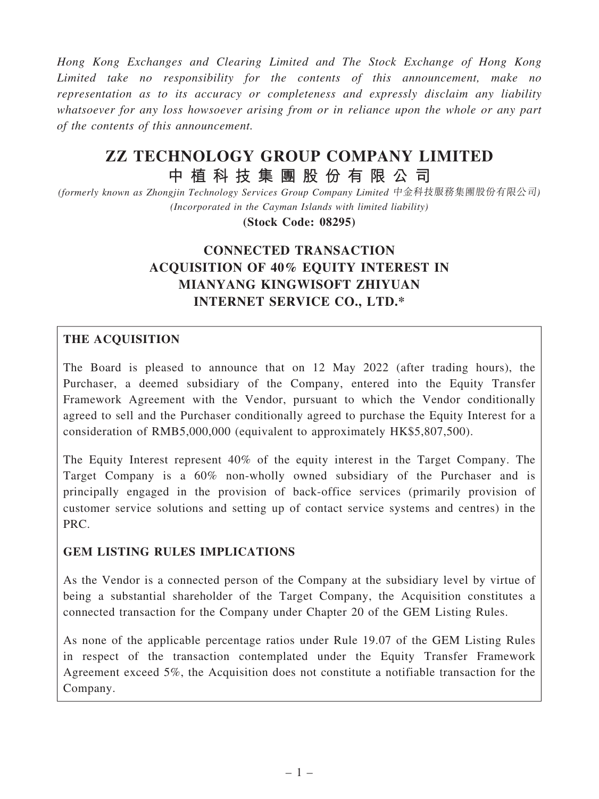Hong Kong Exchanges and Clearing Limited and The Stock Exchange of Hong Kong Limited take no responsibility for the contents of this announcement, make no representation as to its accuracy or completeness and expressly disclaim any liability whatsoever for any loss howsoever arising from or in reliance upon the whole or any part of the contents of this announcement.

# ZZ TECHNOLOGY GROUP COMPANY LIMITED 中 植 科 技 集 團 股 份 有 限 公 司

(formerly known as Zhongjin Technology Services Group Company Limited 中金科技服務集團股份有限公司) (Incorporated in the Cayman Islands with limited liability)

(Stock Code: 08295)

## CONNECTED TRANSACTION ACQUISITION OF 40% EQUITY INTEREST IN MIANYANG KINGWISOFT ZHIYUAN INTERNET SERVICE CO., LTD.\*

### THE ACQUISITION

The Board is pleased to announce that on 12 May 2022 (after trading hours), the Purchaser, a deemed subsidiary of the Company, entered into the Equity Transfer Framework Agreement with the Vendor, pursuant to which the Vendor conditionally agreed to sell and the Purchaser conditionally agreed to purchase the Equity Interest for a consideration of RMB5,000,000 (equivalent to approximately HK\$5,807,500).

The Equity Interest represent 40% of the equity interest in the Target Company. The Target Company is a 60% non-wholly owned subsidiary of the Purchaser and is principally engaged in the provision of back-office services (primarily provision of customer service solutions and setting up of contact service systems and centres) in the PRC.

### GEM LISTING RULES IMPLICATIONS

As the Vendor is a connected person of the Company at the subsidiary level by virtue of being a substantial shareholder of the Target Company, the Acquisition constitutes a connected transaction for the Company under Chapter 20 of the GEM Listing Rules.

As none of the applicable percentage ratios under Rule 19.07 of the GEM Listing Rules in respect of the transaction contemplated under the Equity Transfer Framework Agreement exceed 5%, the Acquisition does not constitute a notifiable transaction for the Company.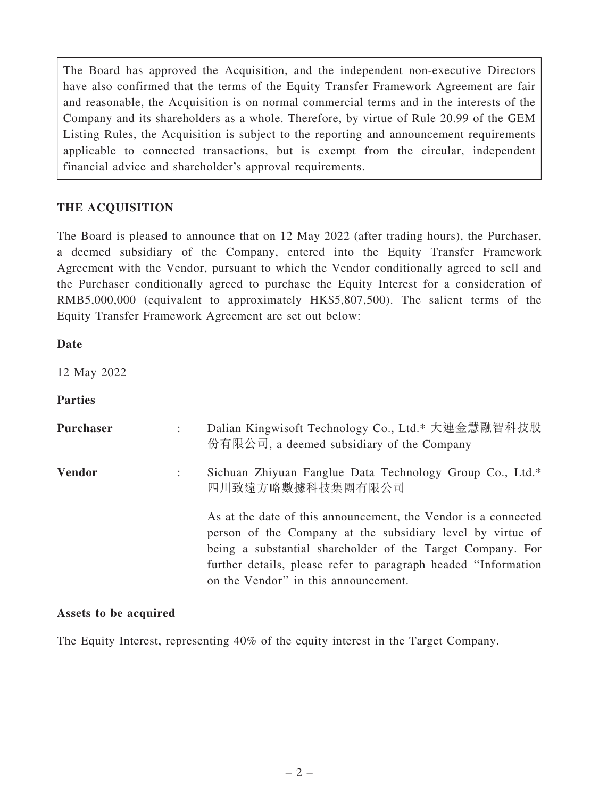The Board has approved the Acquisition, and the independent non-executive Directors have also confirmed that the terms of the Equity Transfer Framework Agreement are fair and reasonable, the Acquisition is on normal commercial terms and in the interests of the Company and its shareholders as a whole. Therefore, by virtue of Rule 20.99 of the GEM Listing Rules, the Acquisition is subject to the reporting and announcement requirements applicable to connected transactions, but is exempt from the circular, independent financial advice and shareholder's approval requirements.

### THE ACQUISITION

The Board is pleased to announce that on 12 May 2022 (after trading hours), the Purchaser, a deemed subsidiary of the Company, entered into the Equity Transfer Framework Agreement with the Vendor, pursuant to which the Vendor conditionally agreed to sell and the Purchaser conditionally agreed to purchase the Equity Interest for a consideration of RMB5,000,000 (equivalent to approximately HK\$5,807,500). The salient terms of the Equity Transfer Framework Agreement are set out below:

12 May 2022

Parties

| Purchaser     | Dalian Kingwisoft Technology Co., Ltd.* 大連金慧融智科技股<br>份有限公司, a deemed subsidiary of the Company                                                                                                                                                                                                       |
|---------------|------------------------------------------------------------------------------------------------------------------------------------------------------------------------------------------------------------------------------------------------------------------------------------------------------|
| <b>Vendor</b> | Sichuan Zhiyuan Fanglue Data Technology Group Co., Ltd.*<br>四川致遠方略數據科技集團有限公司                                                                                                                                                                                                                         |
|               | As at the date of this announcement, the Vendor is a connected<br>person of the Company at the subsidiary level by virtue of<br>being a substantial shareholder of the Target Company. For<br>further details, please refer to paragraph headed "Information<br>on the Vendor" in this announcement. |

### Assets to be acquired

The Equity Interest, representing 40% of the equity interest in the Target Company.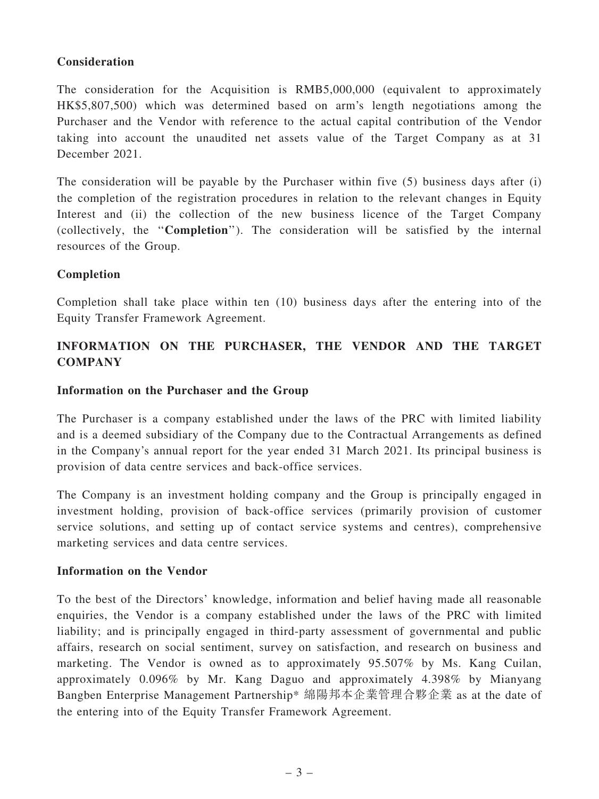### **Consideration**

The consideration for the Acquisition is RMB5,000,000 (equivalent to approximately HK\$5,807,500) which was determined based on arm's length negotiations among the Purchaser and the Vendor with reference to the actual capital contribution of the Vendor taking into account the unaudited net assets value of the Target Company as at 31 December 2021.

The consideration will be payable by the Purchaser within five (5) business days after (i) the completion of the registration procedures in relation to the relevant changes in Equity Interest and (ii) the collection of the new business licence of the Target Company (collectively, the ''Completion''). The consideration will be satisfied by the internal resources of the Group.

### Completion

Completion shall take place within ten (10) business days after the entering into of the Equity Transfer Framework Agreement.

### INFORMATION ON THE PURCHASER, THE VENDOR AND THE TARGET **COMPANY**

### Information on the Purchaser and the Group

The Purchaser is a company established under the laws of the PRC with limited liability and is a deemed subsidiary of the Company due to the Contractual Arrangements as defined in the Company's annual report for the year ended 31 March 2021. Its principal business is provision of data centre services and back-office services.

The Company is an investment holding company and the Group is principally engaged in investment holding, provision of back-office services (primarily provision of customer service solutions, and setting up of contact service systems and centres), comprehensive marketing services and data centre services.

#### Information on the Vendor

To the best of the Directors' knowledge, information and belief having made all reasonable enquiries, the Vendor is a company established under the laws of the PRC with limited liability; and is principally engaged in third-party assessment of governmental and public affairs, research on social sentiment, survey on satisfaction, and research on business and marketing. The Vendor is owned as to approximately 95.507% by Ms. Kang Cuilan, approximately 0.096% by Mr. Kang Daguo and approximately 4.398% by Mianyang Bangben Enterprise Management Partnership\* 綿陽邦本企業管理合夥企業 as at the date of the entering into of the Equity Transfer Framework Agreement.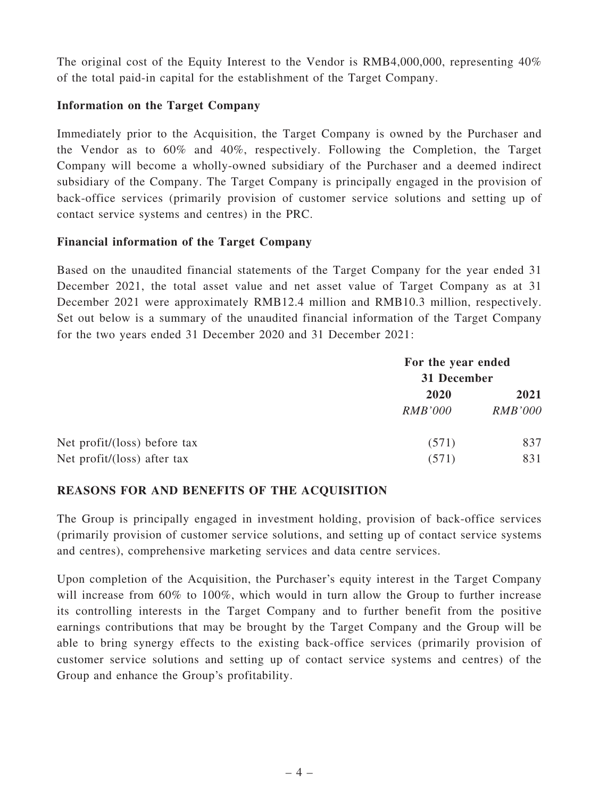The original cost of the Equity Interest to the Vendor is RMB4,000,000, representing 40% of the total paid-in capital for the establishment of the Target Company.

### Information on the Target Company

Immediately prior to the Acquisition, the Target Company is owned by the Purchaser and the Vendor as to 60% and 40%, respectively. Following the Completion, the Target Company will become a wholly-owned subsidiary of the Purchaser and a deemed indirect subsidiary of the Company. The Target Company is principally engaged in the provision of back-office services (primarily provision of customer service solutions and setting up of contact service systems and centres) in the PRC.

#### Financial information of the Target Company

Based on the unaudited financial statements of the Target Company for the year ended 31 December 2021, the total asset value and net asset value of Target Company as at 31 December 2021 were approximately RMB12.4 million and RMB10.3 million, respectively. Set out below is a summary of the unaudited financial information of the Target Company for the two years ended 31 December 2020 and 31 December 2021:

|                              | For the year ended<br>31 December |                |
|------------------------------|-----------------------------------|----------------|
|                              |                                   |                |
|                              | 2020                              | 2021           |
|                              | <i>RMB'000</i>                    | <b>RMB'000</b> |
| Net profit/(loss) before tax | (571)                             | 837            |
| Net profit/(loss) after tax  | (571)                             | 831            |

### REASONS FOR AND BENEFITS OF THE ACQUISITION

The Group is principally engaged in investment holding, provision of back-office services (primarily provision of customer service solutions, and setting up of contact service systems and centres), comprehensive marketing services and data centre services.

Upon completion of the Acquisition, the Purchaser's equity interest in the Target Company will increase from 60% to 100%, which would in turn allow the Group to further increase its controlling interests in the Target Company and to further benefit from the positive earnings contributions that may be brought by the Target Company and the Group will be able to bring synergy effects to the existing back-office services (primarily provision of customer service solutions and setting up of contact service systems and centres) of the Group and enhance the Group's profitability.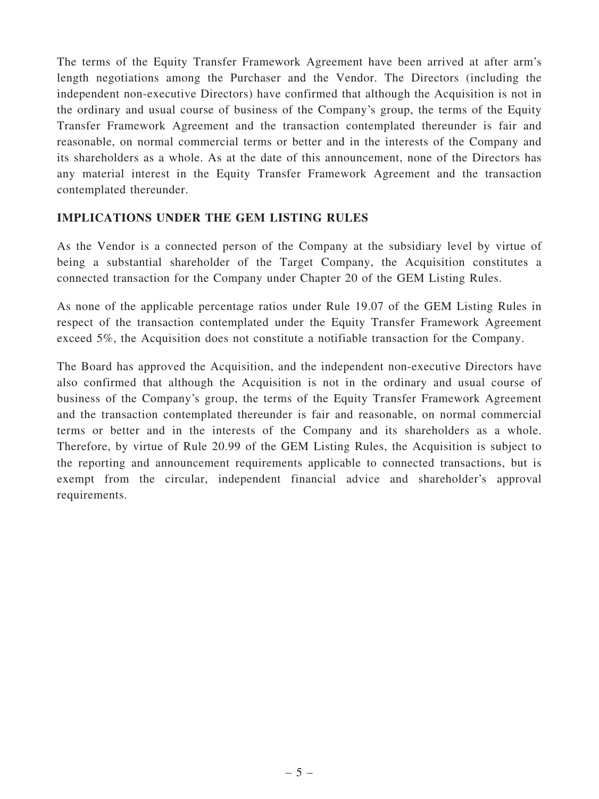The terms of the Equity Transfer Framework Agreement have been arrived at after arm's length negotiations among the Purchaser and the Vendor. The Directors (including the independent non-executive Directors) have confirmed that although the Acquisition is not in the ordinary and usual course of business of the Company's group, the terms of the Equity Transfer Framework Agreement and the transaction contemplated thereunder is fair and reasonable, on normal commercial terms or better and in the interests of the Company and its shareholders as a whole. As at the date of this announcement, none of the Directors has any material interest in the Equity Transfer Framework Agreement and the transaction contemplated thereunder.

### IMPLICATIONS UNDER THE GEM LISTING RULES

As the Vendor is a connected person of the Company at the subsidiary level by virtue of being a substantial shareholder of the Target Company, the Acquisition constitutes a connected transaction for the Company under Chapter 20 of the GEM Listing Rules.

As none of the applicable percentage ratios under Rule 19.07 of the GEM Listing Rules in respect of the transaction contemplated under the Equity Transfer Framework Agreement exceed 5%, the Acquisition does not constitute a notifiable transaction for the Company.

The Board has approved the Acquisition, and the independent non-executive Directors have also confirmed that although the Acquisition is not in the ordinary and usual course of business of the Company's group, the terms of the Equity Transfer Framework Agreement and the transaction contemplated thereunder is fair and reasonable, on normal commercial terms or better and in the interests of the Company and its shareholders as a whole. Therefore, by virtue of Rule 20.99 of the GEM Listing Rules, the Acquisition is subject to the reporting and announcement requirements applicable to connected transactions, but is exempt from the circular, independent financial advice and shareholder's approval requirements.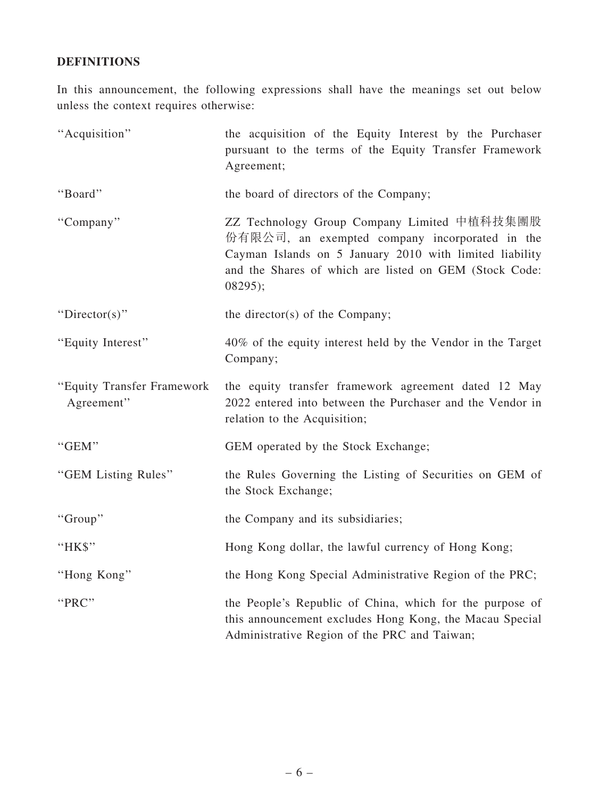### DEFINITIONS

In this announcement, the following expressions shall have the meanings set out below unless the context requires otherwise:

| "Acquisition"                            | the acquisition of the Equity Interest by the Purchaser<br>pursuant to the terms of the Equity Transfer Framework<br>Agreement;                                                                                                 |
|------------------------------------------|---------------------------------------------------------------------------------------------------------------------------------------------------------------------------------------------------------------------------------|
| "Board"                                  | the board of directors of the Company;                                                                                                                                                                                          |
| "Company"                                | ZZ Technology Group Company Limited 中植科技集團股<br>份有限公司, an exempted company incorporated in the<br>Cayman Islands on 5 January 2010 with limited liability<br>and the Shares of which are listed on GEM (Stock Code:<br>$08295$ ; |
| "Director(s)"                            | the director(s) of the Company;                                                                                                                                                                                                 |
| "Equity Interest"                        | 40% of the equity interest held by the Vendor in the Target<br>Company;                                                                                                                                                         |
| "Equity Transfer Framework<br>Agreement" | the equity transfer framework agreement dated 12 May<br>2022 entered into between the Purchaser and the Vendor in<br>relation to the Acquisition;                                                                               |
| "GEM"                                    | GEM operated by the Stock Exchange;                                                                                                                                                                                             |
| "GEM Listing Rules"                      | the Rules Governing the Listing of Securities on GEM of<br>the Stock Exchange;                                                                                                                                                  |
| "Group"                                  | the Company and its subsidiaries;                                                                                                                                                                                               |
| "HK\$"                                   | Hong Kong dollar, the lawful currency of Hong Kong;                                                                                                                                                                             |
| "Hong Kong"                              | the Hong Kong Special Administrative Region of the PRC;                                                                                                                                                                         |
| "PRC"                                    | the People's Republic of China, which for the purpose of<br>this announcement excludes Hong Kong, the Macau Special<br>Administrative Region of the PRC and Taiwan;                                                             |